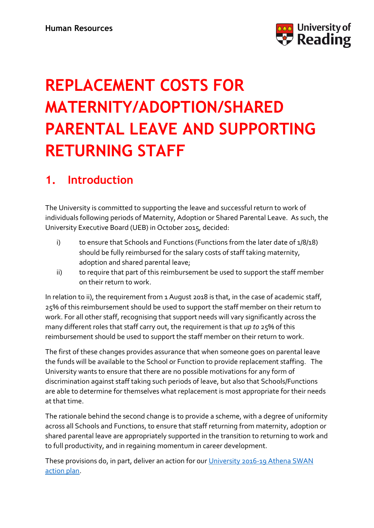

# **REPLACEMENT COSTS FOR MATERNITY/ADOPTION/SHARED PARENTAL LEAVE AND SUPPORTING RETURNING STAFF**

# **1. Introduction**

The University is committed to supporting the leave and successful return to work of individuals following periods of Maternity, Adoption or Shared Parental Leave. As such, the University Executive Board (UEB) in October 2015, decided:

- i) to ensure that Schools and Functions (Functions from the later date of 1/8/18) should be fully reimbursed for the salary costs of staff taking maternity, adoption and shared parental leave;
- ii) to require that part of this reimbursement be used to support the staff member on their return to work.

In relation to ii), the requirement from 1 August 2018 is that, in the case of academic staff, 25% of this reimbursement should be used to support the staff member on their return to work. For all other staff, recognising that support needs will vary significantly across the many different roles that staff carry out, the requirement is that *up to* 25% of this reimbursement should be used to support the staff member on their return to work.

The first of these changes provides assurance that when someone goes on parental leave the funds will be available to the School or Function to provide replacement staffing. The University wants to ensure that there are no possible motivations for any form of discrimination against staff taking such periods of leave, but also that Schools/Functions are able to determine for themselves what replacement is most appropriate for their needs at that time.

The rationale behind the second change is to provide a scheme, with a degree of uniformity across all Schools and Functions, to ensure that staff returning from maternity, adoption or shared parental leave are appropriately supported in the transition to returning to work and to full productivity, and in regaining momentum in career development.

These provisions do, in part, deliver an action for our University 2016-19 Athena SWAN [action plan.](https://www.reading.ac.uk/internal/diversity/diversity-charter-marks.aspx)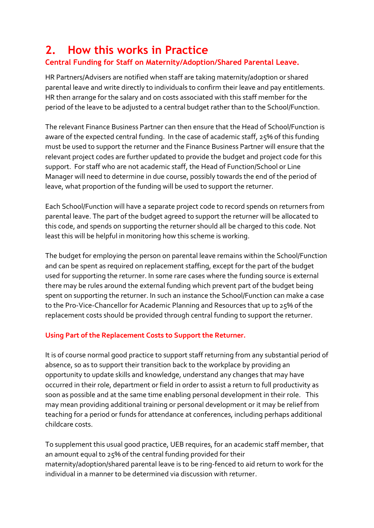## **2. How this works in Practice**

## **Central Funding for Staff on Maternity/Adoption/Shared Parental Leave.**

HR Partners/Advisers are notified when staff are taking maternity/adoption or shared parental leave and write directly to individuals to confirm their leave and pay entitlements. HR then arrange for the salary and on costs associated with this staff member for the period of the leave to be adjusted to a central budget rather than to the School/Function.

The relevant Finance Business Partner can then ensure that the Head of School/Function is aware of the expected central funding. In the case of academic staff, 25% of this funding must be used to support the returner and the Finance Business Partner will ensure that the relevant project codes are further updated to provide the budget and project code for this support. For staff who are not academic staff, the Head of Function/School or Line Manager will need to determine in due course, possibly towards the end of the period of leave, what proportion of the funding will be used to support the returner.

Each School/Function will have a separate project code to record spends on returners from parental leave. The part of the budget agreed to support the returner will be allocated to this code, and spends on supporting the returner should all be charged to this code. Not least this will be helpful in monitoring how this scheme is working.

The budget for employing the person on parental leave remains within the School/Function and can be spent as required on replacement staffing, except for the part of the budget used for supporting the returner. In some rare cases where the funding source is external there may be rules around the external funding which prevent part of the budget being spent on supporting the returner. In such an instance the School/Function can make a case to the Pro-Vice-Chancellor for Academic Planning and Resources that up to 25% of the replacement costs should be provided through central funding to support the returner.

### **Using Part of the Replacement Costs to Support the Returner.**

It is of course normal good practice to support staff returning from any substantial period of absence, so as to support their transition back to the workplace by providing an opportunity to update skills and knowledge, understand any changes that may have occurred in their role, department or field in order to assist a return to full productivity as soon as possible and at the same time enabling personal development in their role. This may mean providing additional training or personal development or it may be relief from teaching for a period or funds for attendance at conferences, including perhaps additional childcare costs.

To supplement this usual good practice, UEB requires, for an academic staff member, that an amount equal to 25% of the central funding provided for their maternity/adoption/shared parental leave is to be ring-fenced to aid return to work for the individual in a manner to be determined via discussion with returner.